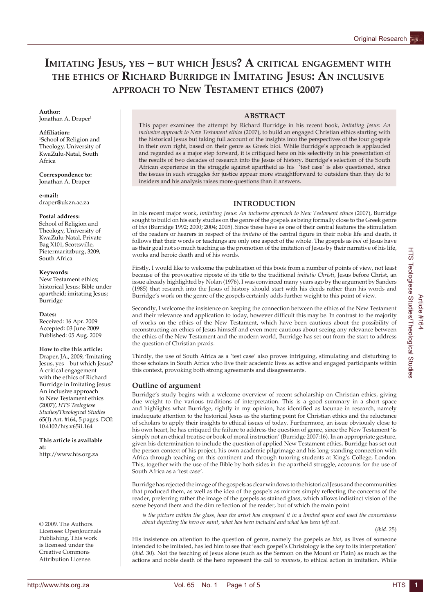# **IMITATING JESUS, YES – BUT WHICH JESUS? A CRITICAL ENGAGEMENT WITH THE ETHICS OF RICHARD BURRIDGE IN IMITATING JESUS: AN INCLUSIVE APPROACH TO NEW TESTAMENT ETHICS (2007)**

## **Author:**

Ionathan A. Draper<sup>1</sup>

### **Affi liation:**

1 School of Religion and Theology, University of KwaZulu-Natal, South Africa

**Correspondence to:** Jonathan A. Draper

**e-mail:** draper@ukzn.ac.za

### **Postal address:**

School of Religion and Theology, University of KwaZulu-Natal, Private Bag X101, Scottsville, Pietermaritzburg, 3209, South Africa

#### **Keywords:**

New Testament ethics; historical Jesus; Bible under apartheid; imitating Jesus; Burridge

#### **Dates:**

Received: 16 Apr. 2009 Accepted: 03 June 2009 Published: 05 Aug. 2009

**How to cite this article:** Draper, JA., 2009, 'Imitating Jesus, yes – but which Jesus? A critical engagement with the ethics of Richard Burridge in Imitating Jesus: An inclusive approach to New Testament ethics (2007)', *HTS Teologiese Studies/Theological Studies*  65(1) Art. #164, 5 pages. DOI: 10.4102/hts.v65i1.164

**This article is available at:** http://www.hts.org.za

© 2009. The Authors. Licensee: OpenJournals Publishing. This work is licensed under the Creative Commons Attribution License.

### **ABSTRACT**

This paper examines the attempt by Richard Burridge in his recent book, *Imitating Jesus: An inclusive approach to New Testament ethics* (2007), to build an engaged Christian ethics starting with the historical Jesus but taking full account of the insights into the perspectives of the four gospels in their own right, based on their genre as Greek bioi. While Burridge's approach is applauded and regarded as a major step forward, it is critiqued here on his selectivity in his presentation of the results of two decades of research into the Jesus of history. Burridge's selection of the South African experience in the struggle against apartheid as his 'test case' is also questioned, since the issues in such struggles for justice appear more straightforward to outsiders than they do to insiders and his analysis raises more questions than it answers.

### **INTRODUCTION**

In his recent major work, *Imitating Jesus: An inclusive approach to New Testament ethics* (2007), Burridge sought to build on his early studies on the genre of the gospels as being formally close to the Greek genre of *bioi* (Burridge 1992; 2000; 2004; 2005). Since these have as one of their central features the stimulation of the readers or hearers in respect of the *imitatio* of the central figure in their noble life and death, it follows that their words or teachings are only one aspect of the whole. The gospels as *bioi* of Jesus have as their goal not so much teaching as the promotion of the imitation of Jesus by their narrative of his life, works and heroic death and of his words.

Firstly, I would like to welcome the publication of this book from a number of points of view, not least because of the provocative riposte of its title to the traditional *imitatio Christi*, Jesus before Christ, an issue already highlighted by Nolan (1976). I was convinced many years ago by the argument by Sanders (1985) that research into the Jesus of history should start with his deeds rather than his words and Burridge's work on the genre of the gospels certainly adds further weight to this point of view.

Secondly, I welcome the insistence on keeping the connection between the ethics of the New Testament and their relevance and application to today, however difficult this may be. In contrast to the majority of works on the ethics of the New Testament, which have been cautious about the possibility of reconstructing an ethics of Jesus himself and even more cautious about seeing any relevance between the ethics of the New Testament and the modern world, Burridge has set out from the start to address the question of Christian praxis.

Thirdly, the use of South Africa as a 'test case' also proves intriguing, stimulating and disturbing to those scholars in South Africa who live their academic lives as active and engaged participants within this context, provoking both strong agreements and disagreements.

### **Outline of argument**

Burridge's study begins with a welcome overview of recent scholarship on Christian ethics, giving due weight to the various traditions of interpretation. This is a good summary in a short space and highlights what Burridge, rightly in my opinion, has identified as lacunae in research, namely inadequate attention to the historical Jesus as the starting point for Christian ethics and the reluctance of scholars to apply their insights to ethical issues of today. Furthermore, an issue obviously close to his own heart, he has critiqued the failure to address the question of genre, since the New Testament 'is simply not an ethical treatise or book of moral instruction' (Burridge 2007:16). In an appropriate gesture, given his determination to include the question of applied New Testament ethics, Burridge has set out the person context of his project, his own academic pilgrimage and his long-standing connection with Africa through teaching on this continent and through tutoring students at King's College, London. This, together with the use of the Bible by both sides in the apartheid struggle, accounts for the use of South Africa as a 'test case'.

Burridge has rejected the image of the gospels as clear windows to the historical Jesus and the communities that produced them, as well as the idea of the gospels as mirrors simply reflecting the concerns of the reader, preferring rather the image of the gospels as stained glass, which allows indistinct vision of the scene beyond them and the dim reflection of the reader, but of which the main point

*is the picture within the glass, how the artist has composed it in a limited space and used the conventions about depicting the hero or saint, what has been included and what has been left out.*

(*ibid.* 25)

His insistence on attention to the question of genre, namely the gospels as *bioi*, as lives of someone intended to be imitated, has led him to see that 'each gospel's Christology is the key to its interpretation' (*ibid.* 30). Not the teaching of Jesus alone (such as the Sermon on the Mount or Plain) as much as the actions and noble death of the hero represent the call to *mimesis*, to ethical action in imitation. While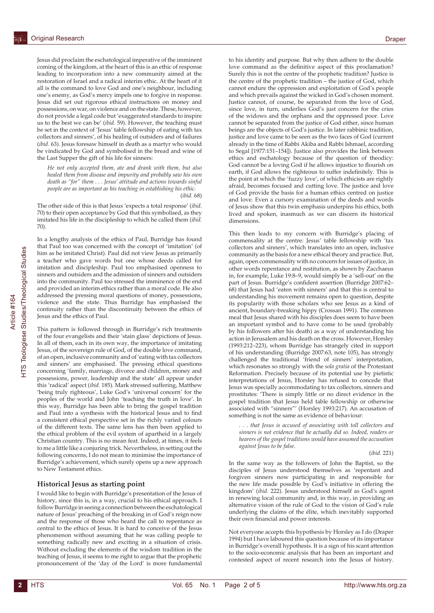Jesus did proclaim the eschatological imperative of the imminent coming of the kingdom, at the heart of this is an ethic of response leading to incorporation into a new community aimed at the restoration of Israel and a radical interim ethic. At the heart of it all is the command to love God and one's neighbour, including one's enemy, as God's mercy impels one to forgive in response. Jesus did set out rigorous ethical instructions on money and possessions, on war, on violence and on the state. These, however, do not provide a legal code but 'exaggerated standards to inspire us to the best we can be' (*ibid.* 59). However, the teaching must be set in the context of 'Jesus' table fellowship of eating with tax collectors and sinners', of his healing of outsiders and of failures (*ibid.* 63). Jesus foresaw himself in death as a martyr who would be vindicated by God and symbolised in the bread and wine of the Last Supper the gift of his life for sinners:

*He not only accepted them, ate and drank with them, but also healed them from disease and impurity and probably saw his own death as "for" them . . . Jesus' attitude and actions towards sinful people are as important as his teaching in establishing his ethic.*  (*ibid.* 68)

The other side of this is that Jesus 'expects a total response' (*ibid.* 70) to their open acceptance by God that this symbolised, as they imitated his life in the discipleship to which he called them (*ibid.*  70).

In a lengthy analysis of the ethics of Paul, Burridge has found that Paul too was concerned with the concept of 'imitation' (of him as he imitated Christ). Paul did not view Jesus as primarily a teacher who gave words but one whose deeds called for imitation and discipleship. Paul too emphasised openness to sinners and outsiders and the admission of sinners and outsiders into the community. Paul too stressed the imminence of the end and provided an interim ethics rather than a moral code. He also addressed the pressing moral questions of money, possessions, violence and the state. Thus Burridge has emphasised the continuity rather than the discontinuity between the ethics of Jesus and the ethics of Paul.

This pattern is followed through in Burridge's rich treatments of the four evangelists and their 'stain glass' depictions of Jesus. In all of them, each in its own way, the importance of imitating Jesus, of the sovereign rule of God, of the double love command, of an open, inclusive community and of 'eating with tax collectors and sinners' are emphasised. The pressing ethical questions concerning 'family, marriage, divorce and children, money and possessions, power, leadership and the state' all appear under this 'radical' aspect (*ibid.* 185). Mark stressed suffering, Matthew 'being truly righteous', Luke God's 'universal concern' for the peoples of the world and John 'teaching the truth in love'. In this way, Burridge has been able to bring the gospel tradition and Paul into a synthesis with the historical Jesus and to find a consistent ethical perspective set in the richly varied colours of the different texts. The same lens has then been applied to the ethical problem of the evil system of apartheid in a largely Christian country. This is no mean feat. Indeed, at times, it feels to me a little like a conjuring trick. Nevertheless, in setting out the following concerns, I do not mean to minimise the importance of Burridge's achievement, which surely opens up a new approach to New Testament ethics.

### **Historical Jesus as starting point**

I would like to begin with Burridge's presentation of the Jesus of history, since this is, in a way, crucial to his ethical approach. I follow Burridge in seeing a connection between the eschatological nature of Jesus' preaching of the breaking in of God's reign now and the response of those who heard the call to repentance as central to the ethics of Jesus. It is hard to conceive of the Jesus phenomenon without assuming that he was calling people to something radically new and exciting in a situation of crisis. Without excluding the elements of the wisdom tradition in the teaching of Jesus, it seems to me right to argue that the prophetic pronouncement of the 'day of the Lord' is more fundamental

to his identity and purpose. But why then adhere to the double love command as the definitive aspect of this proclamation? Surely this is not the centre of the prophetic tradition? Justice is the centre of the prophetic tradition – the justice of God, which cannot endure the oppression and exploitation of God's people and which prevails against the wicked in God's chosen moment. Justice cannot, of course, be separated from the love of God, since love, in turn, underlies God's just concern for the cries of the widows and the orphans and the oppressed poor. Love cannot be separated from the justice of God either, since human beings are the objects of God's justice. In later rabbinic tradition, justice and love came to be seen as the two faces of God (current already in the time of Rabbi Akiba and Rabbi Ishmael, according to Segal [1977:151–154]). Justice also provides the link between ethics and eschatology because of the question of theodicy: God cannot be a loving God if he allows injustice to flourish on earth, if God allows the righteous to suffer indefinitely. This is the point at which the 'fuzzy love', of which ethicists are rightly afraid, becomes focused and cutting love. The justice and love of God provide the basis for a human ethics centred on justice and love. Even a cursory examination of the deeds and words of Jesus show that this twin emphasis underpins his ethics, both lived and spoken, inasmuch as we can discern its historical dimensions.

This then leads to my concern with Burridge's placing of commensality at the centre: Jesus' table fellowship with 'tax collectors and sinners', which translates into an open, inclusive community as the basis for a new ethical theory and practice. But, again, open commensality with no concern for issues of justice, in other words repentance and restitution, as shown by Zacchaeus in, for example, Luke 19:8–9, would simply be a 'sell-out' on the part of Jesus. Burridge's confident assertion (Burridge 2007:62– 68) that Jesus had 'eaten with sinners' and that this is central to understanding his movement remains open to question, despite its popularity with those scholars who see Jesus as a kind of ancient, boundary-breaking hippy (Crossan 1991). The common meal that Jesus shared with his disciples does seem to have been an important symbol and to have come to be used (probably by his followers after his death) as a way of understanding his action in Jerusalem and his death on the cross. However, Horsley (1993:212–223), whom Burridge has strangely cited in support of his understanding (Burridge 2007:63, note 105), has strongly challenged the traditional 'friend of sinners' interpretation, which resonates so strongly with the *sola gratia* of the Protestant Reformation. Precisely because of its potential use by pietistic interpretations of Jesus, Horsley has refused to concede that Jesus was specially accommodating to tax collectors, sinners and prostitutes: 'There is simply little or no direct evidence in the gospel tradition that Jesus held table fellowship or otherwise associated with "sinners"' (Horsley 1993:217). An accusation of something is not the same as evidence of behaviour:

*. . . that Jesus is accused of associating with toll collectors and sinners is not evidence that he actually did so. Indeed, readers or hearers of the gospel traditions would have assumed the accusation against Jesus to be false*.

(*ibid.* 221)

In the same way as the followers of John the Baptist, so the disciples of Jesus understood themselves as 'repentant and forgiven sinners now participating in and responsible for the new life made possible by God's initiative in offering the kingdom' (*ibid.* 222). Jesus understood himself as God's agent in renewing local community and, in this way, in providing an alternative vision of the rule of God to the vision of God's rule underlying the claims of the élite, which inevitably supported their own financial and power interests.

Not everyone accepts this hypothesis by Horsley as I do (Draper 1994) but I have laboured this question because of its importance in Burridge's overall hypothesis. It is a sign of his scant attention to the socio-economic analysis that has been an important and contested aspect of recent research into the Jesus of history.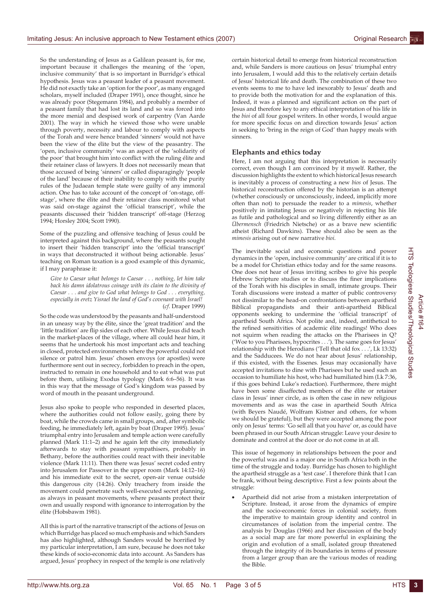So the understanding of Jesus as a Galilean peasant is, for me, important because it challenges the meaning of the 'open, inclusive community' that is so important in Burridge's ethical hypothesis. Jesus was a peasant leader of a peasant movement. He did not exactly take an 'option for the poor', as many engaged scholars, myself included (Draper 1991), once thought, since he was already poor (Stegemann 1984), and probably a member of a peasant family that had lost its land and so was forced into the more menial and despised work of carpentry (Van Aarde 2001). The way in which he viewed those who were unable through poverty, necessity and labour to comply with aspects of the Torah and were hence branded 'sinners' would not have been the view of the élite but the view of the peasantry. The 'open, inclusive community' was an aspect of the 'solidarity of the poor' that brought him into conflict with the ruling élite and their retainer class of lawyers. It does not necessarily mean that those accused of being 'sinners' or called disparagingly 'people of the land' because of their inability to comply with the purity rules of the Judaean temple state were guilty of any immoral action. One has to take account of the concept of 'on-stage, offstage', where the élite and their retainer class monitored what was said on-stage against the 'official transcript', while the peasants discussed their 'hidden transcript' off-stage (Herzog 1994; Horsley 2004; Scott 1990).

Some of the puzzling and offensive teaching of Jesus could be interpreted against this background, where the peasants sought to insert their 'hidden transcript' into the 'official transcript' in ways that deconstructed it without being actionable. Jesus' teaching on Roman taxation is a good example of this dynamic, if I may paraphrase it:

*Give to Caesar what belongs to Caesar . . . nothing, let him take back his damn idolatrous coinage with its claim to the divinity of Caesar . . . and give to God what belongs to God . . . everything, especially in eretz Yisrael the land of God's covenant with Israel!* (*cf*. Draper 1999)

So the code was understood by the peasants and half-understood in an uneasy way by the élite, since the 'great tradition' and the 'little tradition' are flip sides of each other. While Jesus did teach in the market-places of the village, where all could hear him, it seems that he undertook his most important acts and teaching in closed, protected environments where the powerful could not silence or patrol him. Jesus' chosen envoys (or apostles) were furthermore sent out in secrecy, forbidden to preach in the open, instructed to remain in one household and to eat what was put before them, utilising Exodus typology (Mark 6:6–56). It was in this way that the message of God's kingdom was passed by word of mouth in the peasant underground.

Jesus also spoke to people who responded in deserted places, where the authorities could not follow easily, going there by boat, while the crowds came in small groups, and, after symbolic feeding, he immediately left, again by boat (Draper 1995). Jesus' triumphal entry into Jerusalem and temple action were carefully planned (Mark 11:1–2) and he again left the city immediately afterwards to stay with peasant sympathisers, probably in Bethany, before the authorities could react with their inevitable violence (Mark 11:11). Then there was Jesus' secret coded entry into Jerusalem for Passover in the upper room (Mark 14:12–16) and his immediate exit to the secret, open-air venue outside this dangerous city (14:26). Only treachery from inside the movement could penetrate such well-executed secret planning, as always in peasant movements, where peasants protect their own and usually respond with ignorance to interrogation by the élite (Hobsbawm 1981).

All this is part of the narrative transcript of the actions of Jesus on which Burridge has placed so much emphasis and which Sanders has also highlighted, although Sanders would be horrified by my particular interpretation, I am sure, because he does not take these kinds of socio-economic data into account. As Sanders has argued, Jesus' prophecy in respect of the temple is one relatively certain historical detail to emerge from historical reconstruction and, while Sanders is more cautious on Jesus' triumphal entry into Jerusalem, I would add this to the relatively certain details of Jesus' historical life and death. The combination of these two events seems to me to have led inexorably to Jesus' death and to provide both the motivation for and the explanation of this. Indeed, it was a planned and significant action on the part of Jesus and therefore key to any ethical interpretation of his life in the *bioi* of all four gospel writers. In other words, I would argue for more specific focus on and direction towards Jesus' action in seeking to 'bring in the reign of God' than happy meals with sinners.

### **Elephants and ethics today**

Here, I am not arguing that this interpretation is necessarily correct, even though I am convinced by it myself. Rather, the discussion highlights the extent to which historical Jesus research is inevitably a process of constructing a new *bios* of Jesus. The historical reconstruction offered by the historian is an attempt (whether consciously or unconsciously, indeed, implicitly more often than not) to persuade the reader to a *mimesis*, whether positively in imitating Jesus or negatively in rejecting his life as futile and pathological and so living differently either as an *Übermensch* (Friedrich Nietsche) or as a brave new scientific atheist (Richard Dawkins). These should also be seen as the *mimesis* arising out of new narrative *bioi*.

The inevitable social and economic questions and power dynamics in the 'open, inclusive community' are critical if it is to be a model for Christian ethics today and for the same reasons. One does not hear of Jesus inviting scribes to give his people Hebrew Scripture studies or to discuss the finer implications of the Torah with his disciples in small, intimate groups. Their Torah discussions were instead a matter of public controversy not dissimilar to the head-on confrontations between apartheid Biblical propagandists and their anti-apartheid Biblical opponents seeking to undermine the 'official transcript' of apartheid South Africa. Not polite and, indeed, antithetical to the refined sensitivities of academic élite readings! Who does not squirm when reading the attacks on the Pharisees in Q? ('Woe to you Pharisees, hypocrites . . .'). The same goes for Jesus' relationship with the Herodians ('Tell that old fox . . .', Lk 13:32) and the Sadducees. We do not hear about Jesus' relationship, if this existed, with the Essenes. Jesus may occasionally have accepted invitations to dine with Pharisees but he used such an occasion to humiliate his host, who had humiliated him (Lk 7:36, if this goes behind Luke's redaction). Furthermore, there might have been some disaffected members of the élite or retainer class in Jesus' inner circle, as is often the case in new religious movements and as was the case in apartheid South Africa (with Beyers Naudé, Wolfram Kistner and others, for whom we should be grateful), but they were accepted among the poor only on Jesus' terms: 'Go sell all that you have' or, as could have been phrased in our South African struggle: Leave your desire to dominate and control at the door or do not come in at all.

This issue of hegemony in relationships between the poor and the powerful was and is a major one in South Africa both in the time of the struggle and today. Burridge has chosen to highlight the apartheid struggle as a 'test case'. I therefore think that I can be frank, without being descriptive. First a few points about the struggle:

Apartheid did not arise from a mistaken interpretation of Scripture. Instead, it arose from the dynamics of empire and the socio-economic forces in colonial society, from the imperative to maintain group identity and control in circumstances of isolation from the imperial centre. The analysis by Douglas (1966) and her discussion of the body as a social map are far more powerful in explaining the origin and evolution of a small, isolated group threatened through the integrity of its boundaries in terms of pressure from a larger group than are the various modes of reading the Bible.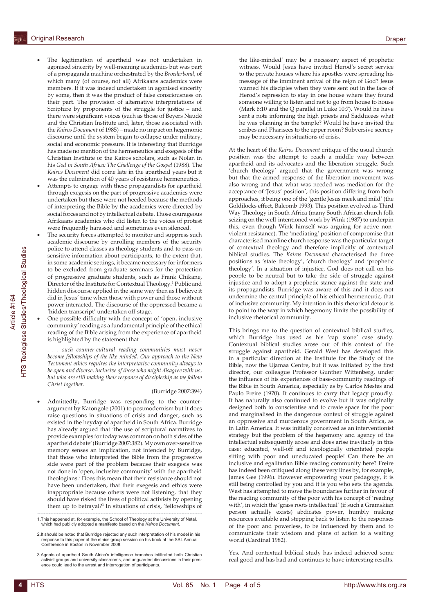- The legitimation of apartheid was not undertaken in agonised sincerity by well-meaning academics but was part of a propaganda machine orchestrated by the *Broederbond*, of which many (of course, not all) Afrikaans academics were members. If it was indeed undertaken in agonised sincerity by some, then it was the product of false consciousness on their part. The provision of alternative interpretations of Scripture by proponents of the struggle for justice – and there were significant voices (such as those of Beyers Naudé and the Christian Institute and, later, those associated with the *Kairos Document* of 1985) – made no impact on hegemonic discourse until the system began to collapse under military, social and economic pressure. It is interesting that Burridge has made no mention of the hermeneutics and exegesis of the Christian Institute or the Kairos scholars, such as Nolan in his *God in South Africa: The Challenge of the Gospel* (1988). The *Kairos Document* did come late in the apartheid years but it was the culmination of 40 years of resistance hermeneutics.
- Attempts to engage with these propagandists for apartheid through exegesis on the part of progressive academics were undertaken but these were not heeded because the methods of interpreting the Bible by the academics were directed by social forces and not by intellectual debate. Those courageous Afrikaans academics who did listen to the voices of protest were frequently harassed and sometimes even silenced.
- The security forces attempted to monitor and suppress such academic discourse by enrolling members of the security police to attend classes as theology students and to pass on sensitive information about participants, to the extent that, in some academic settings, it became necessary for informers to be excluded from graduate seminars for the protection of progressive graduate students, such as Frank Chikane, Director of the Institute for Contextual Theology.1 Public and hidden discourse applied in the same way then as I believe it did in Jesus' time when those with power and those without power interacted. The discourse of the oppressed became a 'hidden transcript' undertaken off-stage.
- One possible difficulty with the concept of 'open, inclusive community' reading as a fundamental principle of the ethical reading of the Bible arising from the experience of apartheid is highlighted by the statement that

*. . . such counter-cultural reading communities must never become fellowships of the like-minded. Our approach to the New Testament ethics requires the interpretative community always to be open and diverse, inclusive of those who might disagree with us, but who are still making their response of discipleship as we follow Christ together.*

#### (Burridge 2007:394)

Admittedly, Burridge was responding to the counterargument by Katongole (2001) to postmodernism but it does raise questions in situations of crisis and danger, such as existed in the heyday of apartheid in South Africa. Burridge has already argued that 'the use of scriptural narratives to provide examples for today was common on both sides of the apartheid debate' (Burridge 2007:382). My own over-sensitive memory senses an implication, not intended by Burridge, that those who interpreted the Bible from the progressive side were part of the problem because their exegesis was not done in 'open, inclusive community' with the apartheid theologians.2 Does this mean that their resistance should not have been undertaken, that their exegesis and ethics were inappropriate because others were not listening, that they should have risked the lives of political activists by opening them up to betrayal?3 In situations of crisis, 'fellowships of the like-minded' may be a necessary aspect of prophetic witness. Would Jesus have invited Herod's secret service to the private houses where his apostles were spreading his message of the imminent arrival of the reign of God? Jesus warned his disciples when they were sent out in the face of Herod's repression to stay in one house where they found someone willing to listen and not to go from house to house (Mark 6:10 and the Q parallel in Luke 10:7). Would he have sent a note informing the high priests and Sadducees what he was planning in the temple? Would he have invited the scribes and Pharisees to the upper room? Subversive secrecy may be necessary in situations of crisis.

At the heart of the *Kairos Document* critique of the usual church position was the attempt to reach a middle way between apartheid and its advocates and the liberation struggle. Such 'church theology' argued that the government was wrong but that the armed response of the liberation movement was also wrong and that what was needed was mediation for the acceptance of 'Jesus' position', this position differing from both approaches, it being one of the 'gentle Jesus meek and mild' (the Goldilocks effect, Balcomb 1993). This position evolved as Third Way Theology in South Africa (many South African church folk seizing on the well-intentioned work by Wink (1987) to underpin this, even though Wink himself was arguing for active nonviolent resistance). The 'mediating' position of compromise that characterised mainline church response was the particular target of contextual theology and therefore implicitly of contextual biblical studies. The *Kairos Document* characterised the three positions as 'state theology', 'church theology' and 'prophetic theology'. In a situation of injustice, God does not call on his people to be neutral but to take the side of struggle against injustice and to adopt a prophetic stance against the state and its propagandists. Burridge was aware of this and it does not undermine the central principle of his ethical hermeneutic, that of inclusive community. My intention in this rhetorical detour is to point to the way in which hegemony limits the possibility of inclusive rhetorical community.

This brings me to the question of contextual biblical studies, which Burridge has used as his 'cap stone' case study. Contextual biblical studies arose out of this context of the struggle against apartheid. Gerald West has developed this in a particular direction at the Institute for the Study of the Bible, now the Ujamaa Centre, but it was initiated by the first director, our colleague Professor Gunther Wittenberg, under the influence of his experiences of base-community readings of the Bible in South America, especially as by Carlos Mestes and Paulo Freire (1970). It continues to carry that legacy proudly. It has naturally also continued to evolve but it was originally designed both to conscientise and to create space for the poor and marginalised in the dangerous context of struggle against an oppressive and murderous government in South Africa, as in Latin America. It was initially conceived as an interventionist strategy but the problem of the hegemony and agency of the intellectual subsequently arose and does arise inevitably in this case: educated, well-off and ideologically orientated people sitting with poor and uneducated people! Can there be an inclusive and egalitarian Bible reading community here? Freire has indeed been critiqued along these very lines by, for example, James Gee (1996). However empowering your pedagogy, it is still being controlled by you and it is you who sets the agenda. West has attempted to move the boundaries further in favour of the reading community of the poor with his concept of 'reading with', in which the 'grass roots intellectual' (if such a Gramskian person actually exists) abdicates power, humbly making resources available and stepping back to listen to the responses of the poor and powerless, to be influenced by them and to communicate their wisdom and plans of action to a waiting world (Cardinal 1982).

Yes. And contextual biblical study has indeed achieved some real good and has had and continues to have interesting results.

<sup>1.</sup>This happened at, for example, the School of Theology at the University of Natal, which had publicly adopted a manifesto based on the *Kairos Document*.

<sup>2.</sup>It should be noted that Burridge rejected any such interpretation of his model in his response to this paper at the ethics group session on his book at the SBL Annual Conference in Boston in November 2008.

<sup>3.</sup>Agents of apartheid South Africa's intelligence branches infiltrated both Christian activist groups and university classrooms, and unguarded discussions in their pres-ence could lead to the arrest and interrogation of participants.